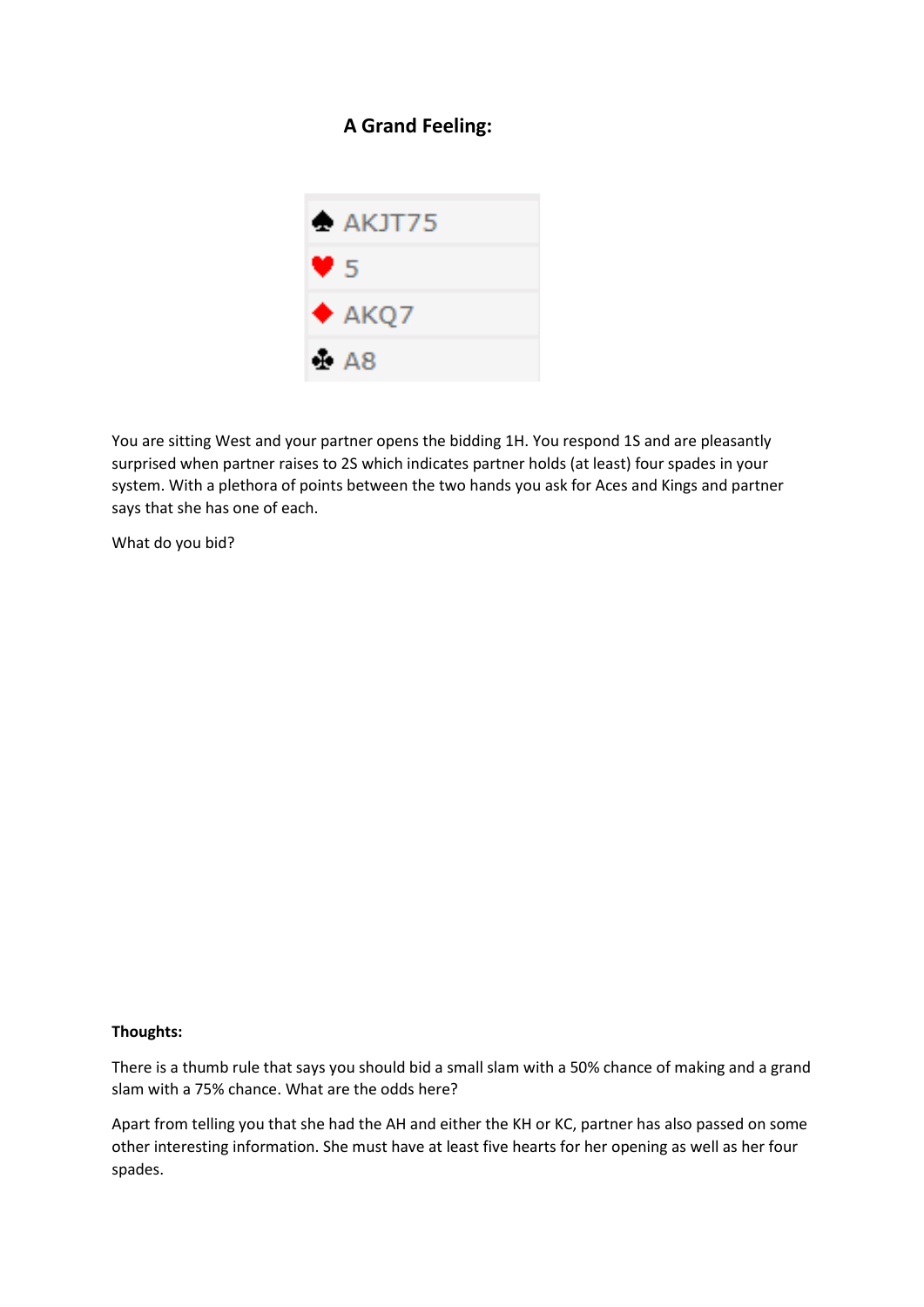## **A Grand Feeling:**



You are sitting West and your partner opens the bidding 1H. You respond 1S and are pleasantly surprised when partner raises to 2S which indicates partner holds (at least) four spades in your system. With a plethora of points between the two hands you ask for Aces and Kings and partner says that she has one of each.

What do you bid?

## **Thoughts:**

There is a thumb rule that says you should bid a small slam with a 50% chance of making and a grand slam with a 75% chance. What are the odds here?

Apart from telling you that she had the AH and either the KH or KC, partner has also passed on some other interesting information. She must have at least five hearts for her opening as well as her four spades.